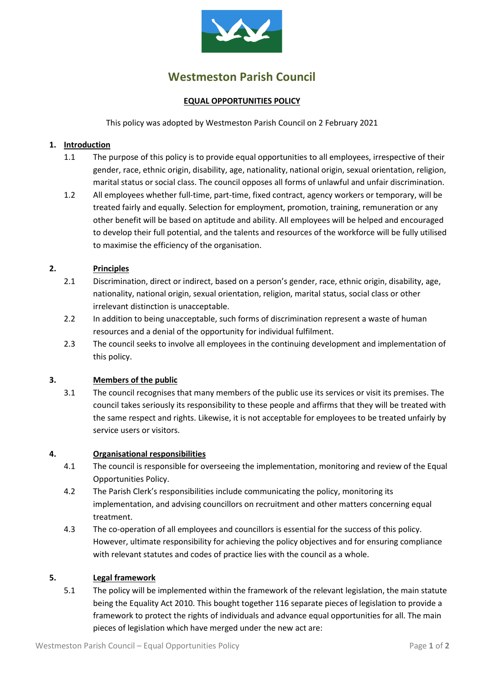

# **Westmeston Parish Council**

## **EQUAL OPPORTUNITIES POLICY**

This policy was adopted by Westmeston Parish Council on 2 February 2021

## **1. Introduction**

- 1.1 The purpose of this policy is to provide equal opportunities to all employees, irrespective of their gender, race, ethnic origin, disability, age, nationality, national origin, sexual orientation, religion, marital status or social class. The council opposes all forms of unlawful and unfair discrimination.
- 1.2 All employees whether full-time, part-time, fixed contract, agency workers or temporary, will be treated fairly and equally. Selection for employment, promotion, training, remuneration or any other benefit will be based on aptitude and ability. All employees will be helped and encouraged to develop their full potential, and the talents and resources of the workforce will be fully utilised to maximise the efficiency of the organisation.

## **2. Principles**

- 2.1 Discrimination, direct or indirect, based on a person's gender, race, ethnic origin, disability, age, nationality, national origin, sexual orientation, religion, marital status, social class or other irrelevant distinction is unacceptable.
- 2.2 In addition to being unacceptable, such forms of discrimination represent a waste of human resources and a denial of the opportunity for individual fulfilment.
- 2.3 The council seeks to involve all employees in the continuing development and implementation of this policy.

### **3. Members of the public**

3.1 The council recognises that many members of the public use its services or visit its premises. The council takes seriously its responsibility to these people and affirms that they will be treated with the same respect and rights. Likewise, it is not acceptable for employees to be treated unfairly by service users or visitors.

#### **4. Organisational responsibilities**

- 4.1 The council is responsible for overseeing the implementation, monitoring and review of the Equal Opportunities Policy.
- 4.2 The Parish Clerk's responsibilities include communicating the policy, monitoring its implementation, and advising councillors on recruitment and other matters concerning equal treatment.
- 4.3 The co-operation of all employees and councillors is essential for the success of this policy. However, ultimate responsibility for achieving the policy objectives and for ensuring compliance with relevant statutes and codes of practice lies with the council as a whole.

#### **5. Legal framework**

5.1 The policy will be implemented within the framework of the relevant legislation, the main statute being the Equality Act 2010. This bought together 116 separate pieces of legislation to provide a framework to protect the rights of individuals and advance equal opportunities for all. The main pieces of legislation which have merged under the new act are: